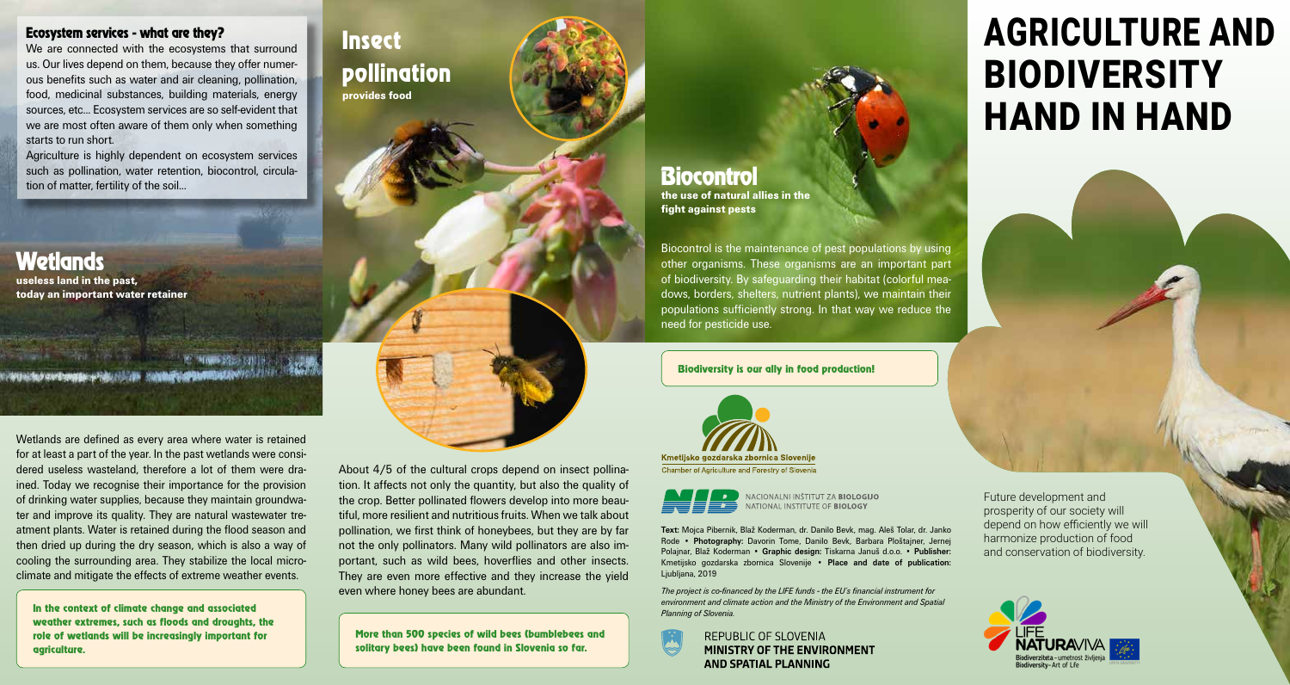#### Ecosystem services - what are they?

We are connected with the ecosystems that surround us. Our lives depend on them, because they offer numerous benefits such as water and air cleaning, pollination, food, medicinal substances, building materials, energy sources, etc... Ecosystem services are so self-evident that we are most often aware of them only when something starts to run short.

Agriculture is highly dependent on ecosystem services such as pollination, water retention, biocontrol, circulation of matter, fertility of the soil...

#### **Wetlands** useless land in the past, today an important water retainer

Wetlands are defined as every area where water is retained for at least a part of the year. In the past wetlands were considered useless wasteland, therefore a lot of them were drained. Today we recognise their importance for the provision of drinking water supplies, because they maintain groundwater and improve its quality. They are natural wastewater treatment plants. Water is retained during the flood season and then dried up during the dry season, which is also a way of cooling the surrounding area. They stabilize the local microclimate and mitigate the effects of extreme weather events.

In the context of climate change and associated weather extremes, such as floods and droughts, the role of wetlands will be increasingly important for agriculture.

### **Insect** pollination provides food

About 4/5 of the cultural crops depend on insect pollination. It affects not only the quantity, but also the quality of the crop. Better pollinated flowers develop into more beautiful, more resilient and nutritious fruits. When we talk about pollination, we first think of honeybees, but they are by far not the only pollinators. Many wild pollinators are also important, such as wild bees, hoverflies and other insects. They are even more effective and they increase the yield

More than 500 species of wild bees (bumblebees and solitary bees) have been found in Slovenia so far.

even where honey bees are abundant.

**Biocontrol** the use of natural allies in the fight against pests

Biocontrol is the maintenance of pest populations by using other organisms. These organisms are an important part of biodiversity. By safeguarding their habitat (colorful meadows, borders, shelters, nutrient plants), we maintain their populations sufficiently strong. In that way we reduce the need for pesticide use.

Biodiversity is our ally in food production!



NACIONALNI INŠTITUT ZA BIOLOGIJO NATIONAL INSTITUTE OF **BIOLOGY** 

**Text:** Mojca Pibernik, Blaž Koderman, dr. Danilo Bevk, mag. Aleš Tolar, dr. Janko Rode • **Photography:** Davorin Tome, Danilo Bevk, Barbara Ploštajner, Jernej Polajnar, Blaž Koderman • **Graphic design:** Tiskarna Januš d.o.o. • **Publisher:** Kmetijsko gozdarska zbornica Slovenije • **Place and date of publication:** Ljubljana, 2019

*The project is co-financed by the LIFE funds - the EU's financial instrument for environment and climate action and the Ministry of the Environment and Spatial Planning of Slovenia.*

#### REPUBLIC OF SLOVENIA MINISTRY OF THE ENVIRONMENT **AND SPATIAL PLANNING**

# AGRICULTURE AND BIODIVERSITY HAND IN HAND